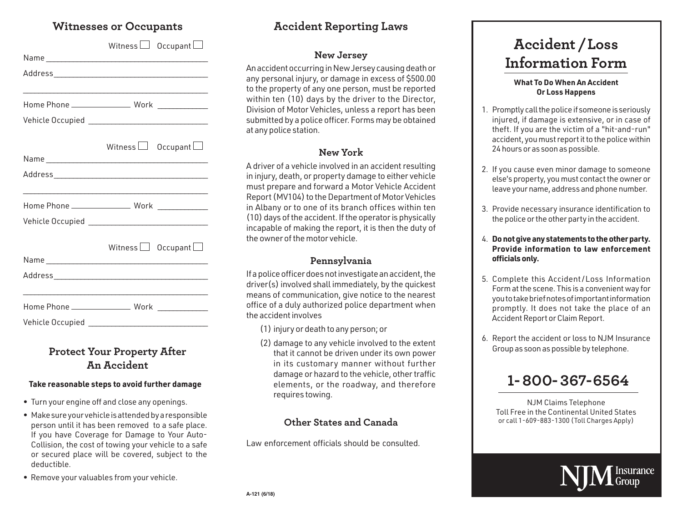## **Witnesses or Occupants**

|                  | Witness $\Box$ Occupant $\Box$ |
|------------------|--------------------------------|
|                  |                                |
|                  |                                |
|                  |                                |
|                  |                                |
|                  |                                |
|                  |                                |
|                  | Witness <b>Occupant</b>        |
|                  |                                |
|                  |                                |
|                  |                                |
|                  |                                |
|                  |                                |
|                  |                                |
|                  | Witness $\Box$ Occupant $\Box$ |
|                  |                                |
|                  |                                |
|                  |                                |
|                  |                                |
| Vehicle Occupied |                                |

# **Protect Your Property After An Accident**

### **Take reasonable steps to avoid further damage**

- Turn your engine off and close any openings.
- Make sure your vehicle is attended by a responsible person until it has been removed to a safe place. If you have Coverage for Damage to Your Auto-Collision, the cost of towing your vehicle to a safe or secured place will be covered, subject to the deductible.
- Remove your valuables from your vehicle.

# **Accident Reporting Laws**

### **New Jersey**

An accident occurring in New Jersey causing death or any personal injury, or damage in excess of \$500.00 to the property of any one person, must be reported within ten (10) days by the driver to the Director, Division of Motor Vehicles, unless a report has been submitted by a police officer. Forms may be obtained at any police station.

## **New York**

A driver of a vehicle involved in an accident resulting in injury, death, or property damage to either vehicle must prepare and forward a Motor Vehicle Accident Report (MV104) to the Department of Motor Vehicles in Albany or to one of its branch offices within ten (10) days of the accident. If the operator is physically incapable of making the report, it is then the duty of the owner of the motor vehicle.

### **Pennsylvania**

If a police officer does not investigate an accident, the driver(s) involved shall immediately, by the quickest means of communication, give notice to the nearest office of a duly authorized police department when the accident involves

(1) injury or death to any person; or

(2) damage to any vehicle involved to the extent that it cannot be driven under its own power in its customary manner without further damage or hazard to the vehicle, other traffic elements, or the roadway, and therefore requires towing.

### **Other States and Canada**

Law enforcement officials should be consulted.

# **Accident /Loss Information Form**

#### **What To Do When An Accident Or Loss Happens**

- 1. Promptly call the police if someone is seriously injured, if damage is extensive, or in case of theft. If you are the victim of a "hit-and-run" accident, you must report it to the police within 24 hours or as soon as possible.
- 2. If you cause even minor damage to someone else's property, you must contact the owner or leave your name, address and phone number.
- 3. Provide necessary insurance identification to the police or the other party in the accident.
- 4. **Do not give any statements to the other party. Provide information to law enforcement officials only.**
- 5. Complete this Accident /Loss Information Form at the scene. This is a convenient way for you to take brief notes of important information promptly. It does not take the place of an Accident Report or Claim Report.
- 6. Report the accident or loss to NJM Insurance Group as soon as possible by telephone.



NJM Claims Telephone Toll Free in the Continental United States or call 1-609-883-1300 (Toll Charges Apply)